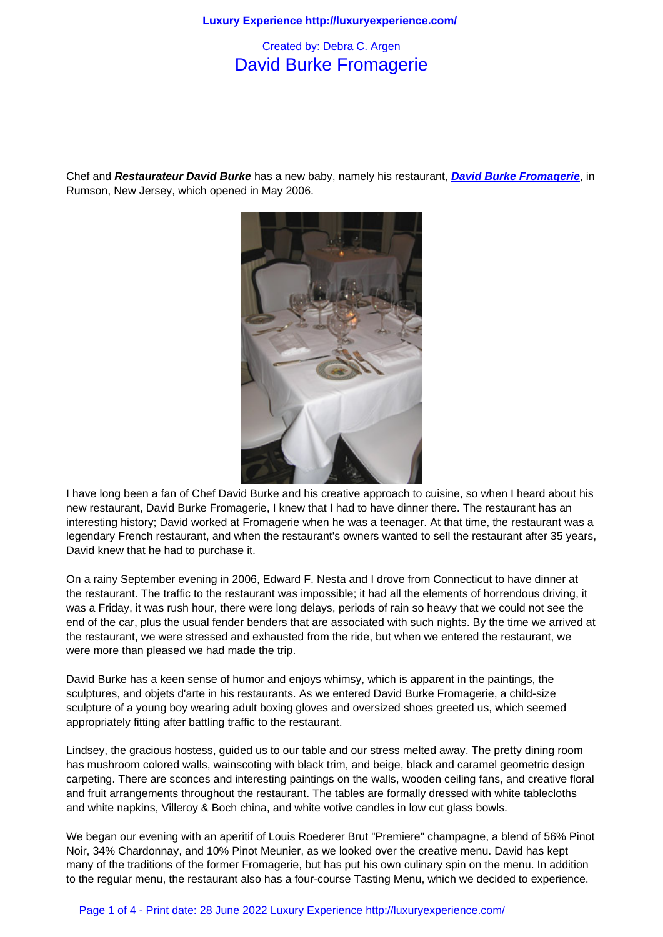## David Burke Fromagerie

Chef and **Restaurateur David Burke** has a new baby, namely his restaurant, **David Burke Fromagerie**, in Rumson, New Jersey, which opened in May 2006.



I have long been a fan of Chef David Burke and his creative approach to cuisine, so when I heard about his new restaurant, David Burke Fromagerie, I knew that I had to have dinner there. The restaurant has an interesting history; David worked at Fromagerie when he was a teenager. At that time, the restaurant was a legendary French restaurant, and when the restaurant's owners wanted to sell the restaurant after 35 years, David knew that he had to purchase it.

On a rainy September evening in 2006, Edward F. Nesta and I drove from Connecticut to have dinner at the restaurant. The traffic to the restaurant was impossible; it had all the elements of horrendous driving, it was a Friday, it was rush hour, there were long delays, periods of rain so heavy that we could not see the end of the car, plus the usual fender benders that are associated with such nights. By the time we arrived at the restaurant, we were stressed and exhausted from the ride, but when we entered the restaurant, we were more than pleased we had made the trip.

David Burke has a keen sense of humor and enjoys whimsy, which is apparent in the paintings, the sculptures, and objets d'arte in his restaurants. As we entered David Burke Fromagerie, a child-size sculpture of a young boy wearing adult boxing gloves and oversized shoes greeted us, which seemed appropriately fitting after battling traffic to the restaurant.

Lindsey, the gracious hostess, guided us to our table and our stress melted away. The pretty dining room has mushroom colored walls, wainscoting with black trim, and beige, black and caramel geometric design carpeting. There are sconces and interesting paintings on the walls, wooden ceiling fans, and creative floral and fruit arrangements throughout the restaurant. The tables are formally dressed with white tablecloths and white napkins, Villeroy & Boch china, and white votive candles in low cut glass bowls.

We began our evening with an aperitif of Louis Roederer Brut "Premiere" champagne, a blend of 56% Pinot Noir, 34% Chardonnay, and 10% Pinot Meunier, as we looked over the creative menu. David has kept many of the traditions of the former Fromagerie, but has put his own culinary spin on the menu. In addition to the regular menu, the restaurant also has a four-course Tasting Menu, which we decided to experience.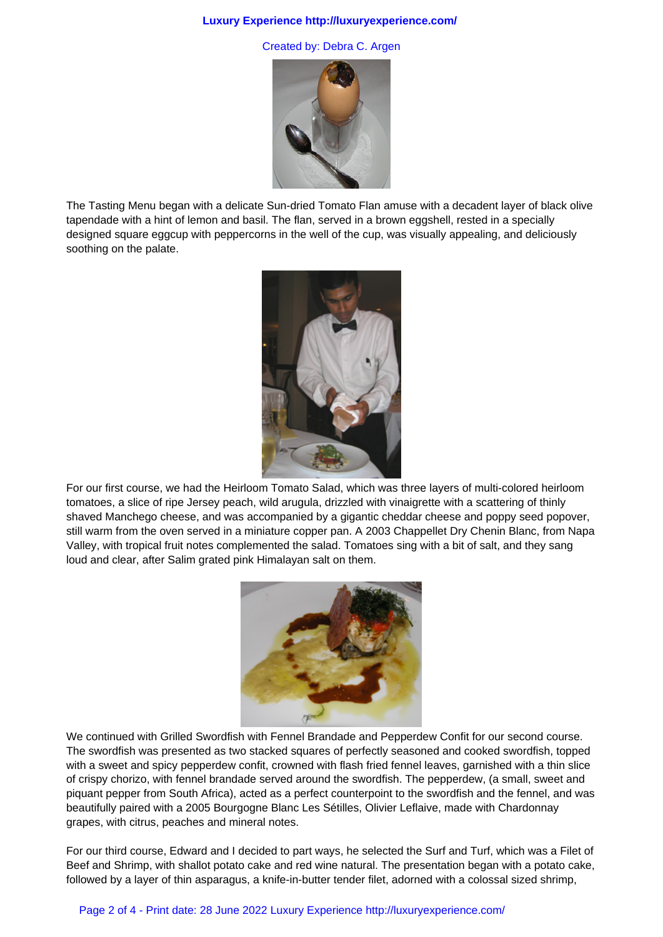## **Luxury Experience http://luxuryexperience.com/**

Created by: Debra C. Argen



The Tasting Menu began with a delicate Sun-dried Tomato Flan amuse with a decadent layer of black olive tapendade with a hint of lemon and basil. The flan, served in a brown eggshell, rested in a specially designed square eggcup with peppercorns in the well of the cup, was visually appealing, and deliciously soothing on the palate.



For our first course, we had the Heirloom Tomato Salad, which was three layers of multi-colored heirloom tomatoes, a slice of ripe Jersey peach, wild arugula, drizzled with vinaigrette with a scattering of thinly shaved Manchego cheese, and was accompanied by a gigantic cheddar cheese and poppy seed popover, still warm from the oven served in a miniature copper pan. A 2003 Chappellet Dry Chenin Blanc, from Napa Valley, with tropical fruit notes complemented the salad. Tomatoes sing with a bit of salt, and they sang loud and clear, after Salim grated pink Himalayan salt on them.



We continued with Grilled Swordfish with Fennel Brandade and Pepperdew Confit for our second course. The swordfish was presented as two stacked squares of perfectly seasoned and cooked swordfish, topped with a sweet and spicy pepperdew confit, crowned with flash fried fennel leaves, garnished with a thin slice of crispy chorizo, with fennel brandade served around the swordfish. The pepperdew, (a small, sweet and piquant pepper from South Africa), acted as a perfect counterpoint to the swordfish and the fennel, and was beautifully paired with a 2005 Bourgogne Blanc Les Sétilles, Olivier Leflaive, made with Chardonnay grapes, with citrus, peaches and mineral notes.

For our third course, Edward and I decided to part ways, he selected the Surf and Turf, which was a Filet of Beef and Shrimp, with shallot potato cake and red wine natural. The presentation began with a potato cake, followed by a layer of thin asparagus, a knife-in-butter tender filet, adorned with a colossal sized shrimp,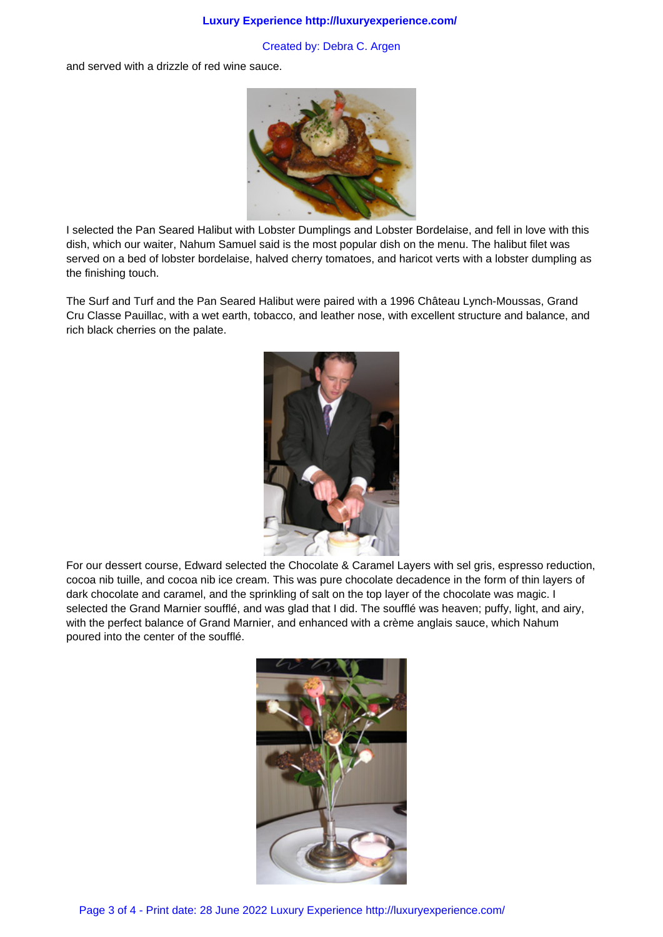## **Luxury Experience http://luxuryexperience.com/**

## Created by: Debra C. Argen

and served with a drizzle of red wine sauce.



I selected the Pan Seared Halibut with Lobster Dumplings and Lobster Bordelaise, and fell in love with this dish, which our waiter, Nahum Samuel said is the most popular dish on the menu. The halibut filet was served on a bed of lobster bordelaise, halved cherry tomatoes, and haricot verts with a lobster dumpling as the finishing touch.

The Surf and Turf and the Pan Seared Halibut were paired with a 1996 Château Lynch-Moussas, Grand Cru Classe Pauillac, with a wet earth, tobacco, and leather nose, with excellent structure and balance, and rich black cherries on the palate.



For our dessert course, Edward selected the Chocolate & Caramel Layers with sel gris, espresso reduction, cocoa nib tuille, and cocoa nib ice cream. This was pure chocolate decadence in the form of thin layers of dark chocolate and caramel, and the sprinkling of salt on the top layer of the chocolate was magic. I selected the Grand Marnier soufflé, and was glad that I did. The soufflé was heaven; puffy, light, and airy, with the perfect balance of Grand Marnier, and enhanced with a crème anglais sauce, which Nahum poured into the center of the soufflé.